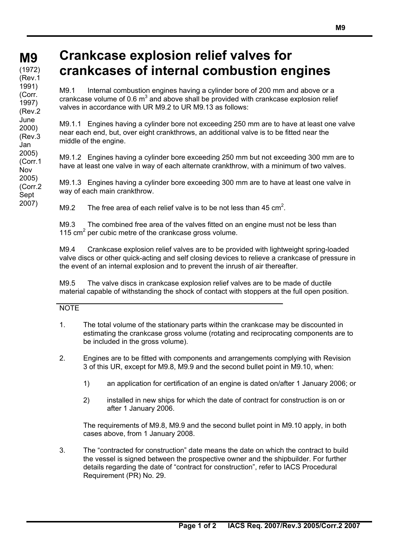## **M9**

 $(1972)$ (Rev.1 1991) (Corr. 1997) (Rev.2 June 2000) (Rev.3 Jan 2005) (Corr.1 Nov 2005) (Corr.2 Sept

2007)

## **Crankcase explosion relief valves for crankcases of internal combustion engines**

M9.1 Internal combustion engines having a cylinder bore of 200 mm and above or a crankcase volume of 0.6  $m^3$  and above shall be provided with crankcase explosion relief valves in accordance with UR M9.2 to UR M9.13 as follows:

M9.1.1 Engines having a cylinder bore not exceeding 250 mm are to have at least one valve near each end, but, over eight crankthrows, an additional valve is to be fitted near the middle of the engine.

M9.1.2 Engines having a cylinder bore exceeding 250 mm but not exceeding 300 mm are to have at least one valve in way of each alternate crankthrow, with a minimum of two valves.

M9.1.3 Engines having a cylinder bore exceeding 300 mm are to have at least one valve in way of each main crankthrow.

M9.2 The free area of each relief valve is to be not less than 45 cm<sup>2</sup>.

M9.3 The combined free area of the valves fitted on an engine must not be less than 115  $\text{cm}^2$  per cubic metre of the crankcase gross volume.

M9.4 Crankcase explosion relief valves are to be provided with lightweight spring-loaded valve discs or other quick-acting and self closing devices to relieve a crankcase of pressure in the event of an internal explosion and to prevent the inrush of air thereafter.

M9.5 The valve discs in crankcase explosion relief valves are to be made of ductile material capable of withstanding the shock of contact with stoppers at the full open position.

## NOTE

- 1. The total volume of the stationary parts within the crankcase may be discounted in estimating the crankcase gross volume (rotating and reciprocating components are to be included in the gross volume).
- 2. Engines are to be fitted with components and arrangements complying with Revision 3 of this UR, except for M9.8, M9.9 and the second bullet point in M9.10, when:
	- 1) an application for certification of an engine is dated on/after 1 January 2006; or
	- 2) installed in new ships for which the date of contract for construction is on or after 1 January 2006.

The requirements of M9.8, M9.9 and the second bullet point in M9.10 apply, in both cases above, from 1 January 2008.

3. The "contracted for construction" date means the date on which the contract to build the vessel is signed between the prospective owner and the shipbuilder. For further details regarding the date of "contract for construction", refer to IACS Procedural Requirement (PR) No. 29.